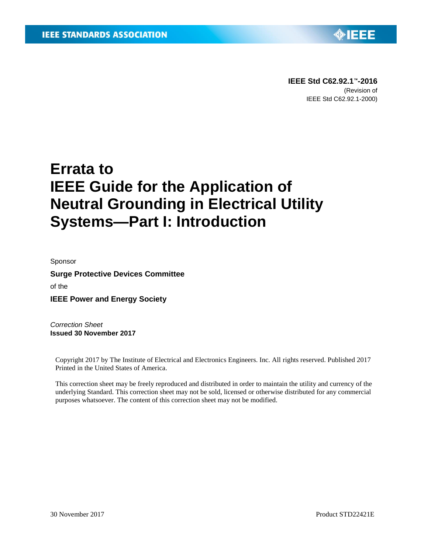

**IEEE Std C62.92.1™-2016** (Revision of IEEE Std C62.92.1-2000)

# **Errata to IEEE Guide for the Application of Neutral Grounding in Electrical Utility Systems—Part I: Introduction**

Sponsor

**Surge Protective Devices Committee** of the **IEEE Power and Energy Society**

*Correction Sheet* **Issued 30 November 2017**

Copyright 2017 by The Institute of Electrical and Electronics Engineers. Inc. All rights reserved. Published 2017 Printed in the United States of America.

This correction sheet may be freely reproduced and distributed in order to maintain the utility and currency of the underlying Standard. This correction sheet may not be sold, licensed or otherwise distributed for any commercial purposes whatsoever. The content of this correction sheet may not be modified.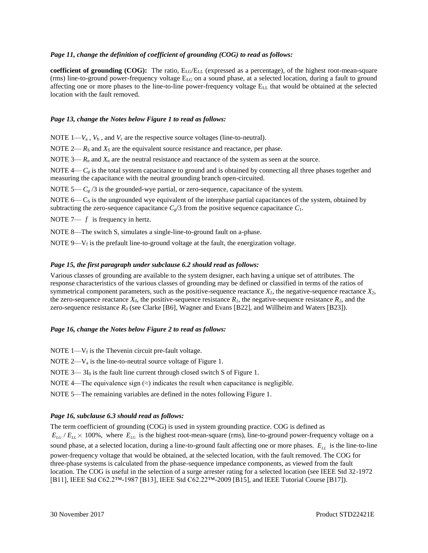#### *Page 11, change the definition of coefficient of grounding (COG) to read as follows:*

**coefficient of grounding**  $(COG)$ **:** The ratio,  $E_{LG}/E_{LL}$  (expressed as a percentage), of the highest root-mean-square (rms) line-to-ground power-frequency voltage  $E_{LG}$  on a sound phase, at a selected location, during a fault to ground affecting one or more phases to the line-to-line power-frequency voltage ELL that would be obtained at the selected location with the fault removed.

#### *Page 13, change the Notes below Figure 1 to read as follows:*

NOTE  $1 - V_a$ ,  $V_b$ , and  $V_c$  are the respective source voltages (line-to-neutral).

NOTE  $2 - R_S$  and  $X_S$  are the equivalent source resistance and reactance, per phase.

NOTE  $3 - R_n$  and  $X_n$  are the neutral resistance and reactance of the system as seen at the source.

NOTE  $4 - C<sub>g</sub>$  is the total system capacitance to ground and is obtained by connecting all three phases together and measuring the capacitance with the neutral grounding branch open-circuited.

NOTE 5—  $C_g$  /3 is the grounded-wye partial, or zero-sequence, capacitance of the system.

NOTE  $6 - C<sub>S</sub>$  is the ungrounded wye equivalent of the interphase partial capacitances of the system, obtained by subtracting the zero-sequence capacitance  $C_g/3$  from the positive sequence capacitance  $C_1$ .

NOTE 7—  $f$  is frequency in hertz.

NOTE 8—The switch S, simulates a single-line-to-ground fault on a-phase.

NOTE 9— $V_f$  is the prefault line-to-ground voltage at the fault, the energization voltage.

## *Page 15, the first paragraph under subclause 6.2 should read as follows:*

Various classes of grounding are available to the system designer, each having a unique set of attributes. The response characteristics of the various classes of grounding may be defined or classified in terms of the ratios of symmetrical component parameters, such as the positive-sequence reactance  $X<sub>1</sub>$ , the negative-sequence reactance  $X<sub>2</sub>$ , the zero-sequence reactance  $X_0$ , the positive-sequence resistance  $R_1$ , the negative-sequence resistance  $R_2$ , and the zero-sequence resistance *R<sup>0</sup>* (see Clarke [B6], Wagner and Evans [B22], and Willheim and Waters [B23]).

#### *Page 16, change the Notes below Figure 2 to read as follows:*

- NOTE  $1 V_f$  is the Thevenin circuit pre-fault voltage.
- NOTE  $2-V_a$  is the line-to-neutral source voltage of Figure 1.
- NOTE  $3 3I_0$  is the fault line current through closed switch S of Figure 1.
- NOTE 4—The equivalence sign  $(\approx)$  indicates the result when capacitance is negligible.
- NOTE 5—The remaining variables are defined in the notes following Figure 1.

## *Page 16, subclause 6.3 should read as follows:*

The term coefficient of grounding (COG) is used in system grounding practice. COG is defined as  $E_{LG}$  /  $E_{LL}$  × 100%, where  $E_{LG}$  is the highest root-mean-square (rms), line-to-ground power-frequency voltage on a sound phase, at a selected location, during a line-to-ground fault affecting one or more phases. *ELL* is the line-to-line power-frequency voltage that would be obtained, at the selected location, with the fault removed. The COG for three-phase systems is calculated from the phase-sequence impedance components, as viewed from the fault location. The COG is useful in the selection of a surge arrester rating for a selected location (see IEEE Std 32-1972 [B11], IEEE Std C62.2™-1987 [B13], IEEE Std C62.22™-2009 [B15], and IEEE Tutorial Course [B17]).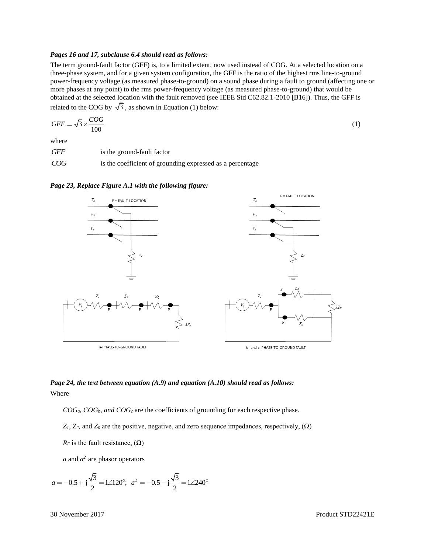#### *Pages 16 and 17, subclause 6.4 should read as follows:*

The term ground-fault factor (GFF) is, to a limited extent, now used instead of COG. At a selected location on a three-phase system, and for a given system configuration, the GFF is the ratio of the highest rms line-to-ground power-frequency voltage (as measured phase-to-ground) on a sound phase during a fault to ground (affecting one or more phases at any point) to the rms power-frequency voltage (as measured phase-to-ground) that would be obtained at the selected location with the fault removed (see IEEE Std C62.82.1-2010 [B16]). Thus, the GFF is related to the COG by  $\sqrt{3}$ , as shown in Equation (1) below:

$$
GFF = \sqrt{3} \times \frac{COG}{100} \tag{1}
$$

where

*GFF* is the ground-fault factor

*COG* is the coefficient of grounding expressed as a percentage



*Page 23, Replace Figure A.1 with the following figure:*

# *Page 24, the text between equation (A.9) and equation (A.10) should read as follows:* Where

*COGa*, *COGb, and COG<sup>c</sup>* are the coefficients of grounding for each respective phase.

 $Z_1, Z_2$ , and  $Z_0$  are the positive, negative, and zero sequence impedances, respectively,  $(\Omega)$ 

 $R_F$  is the fault resistance, ( $\Omega$ )

*a* and  $a^2$  are phasor operators

$$
a = -0.5 + j\frac{\sqrt{3}}{2} = 1 \angle 120^{\circ}; \ \ a^2 = -0.5 - j\frac{\sqrt{3}}{2} = 1 \angle 240^{\circ}
$$